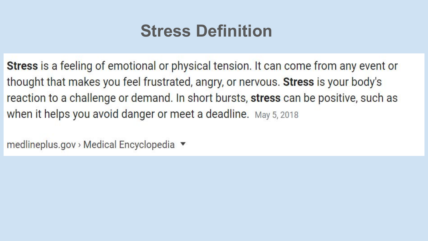## **Stress Definition**

Stress is a feeling of emotional or physical tension. It can come from any event or thought that makes you feel frustrated, angry, or nervous. Stress is your body's reaction to a challenge or demand. In short bursts, stress can be positive, such as when it helps you avoid danger or meet a deadline. May 5, 2018

medlineplus.gov > Medical Encyclopedia ▼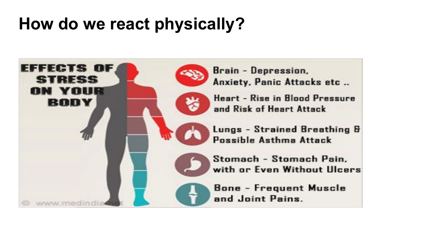## **How do we react physically?**

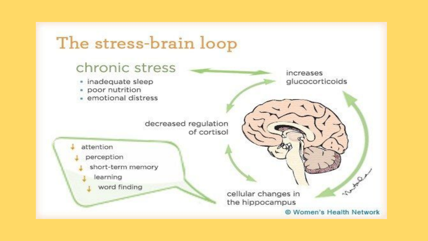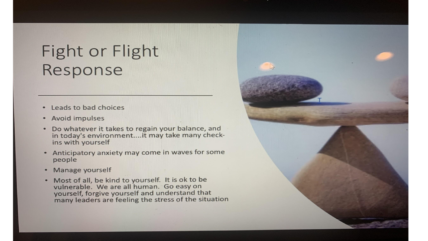### **Fight or Flight** Response

- Leads to bad choices  $\bullet$
- Avoid impulses
- Do whatever it takes to regain your balance, and  $\bullet$ in today's environment.... it may take many checkins with yourself
- Anticipatory anxiety may come in waves for some  $\bullet$ people
- Manage yourself  $\bullet$
- . Most of all, be kind to yourself. It is ok to be vulnerable. We are all human. Go easy on yourself, forgive yourself and understand that many leaders are feeling the stress of the situation

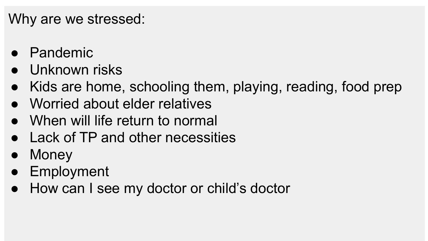#### Why are we stressed:

- Pandemic
- Unknown risks
- Kids are home, schooling them, playing, reading, food prep
- Worried about elder relatives
- When will life return to normal
- Lack of TP and other necessities
- Money
- Employment
- How can I see my doctor or child's doctor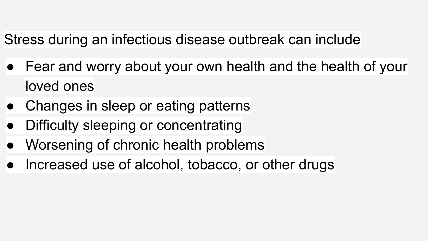#### Stress during an infectious disease outbreak can include

- Fear and worry about your own health and the health of your loved ones
- Changes in sleep or eating patterns
- Difficulty sleeping or concentrating
- Worsening of chronic health problems
- Increased use of alcohol, tobacco, or other drugs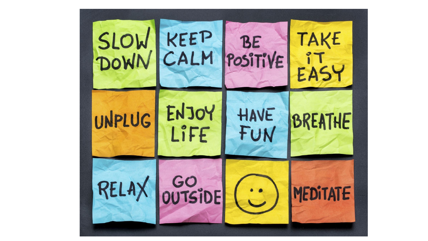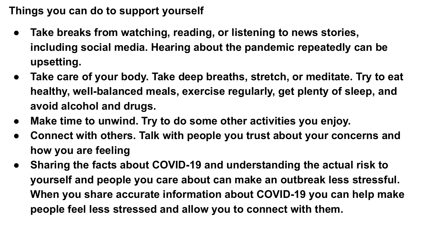**Things you can do to support yourself**

- **● Take breaks from watching, reading, or listening to news stories, including social media. Hearing about the pandemic repeatedly can be upsetting.**
- **● Take care of your body. Take deep breaths, stretch, or meditate. Try to eat healthy, well-balanced meals, exercise regularly, get plenty of sleep, and avoid alcohol and drugs.**
- **● Make time to unwind. Try to do some other activities you enjoy.**
- **● Connect with others. Talk with people you trust about your concerns and how you are feeling**
- **● Sharing the facts about COVID-19 and understanding the actual risk to yourself and people you care about can make an outbreak less stressful. When you share accurate information about COVID-19 you can help make people feel less stressed and allow you to connect with them.**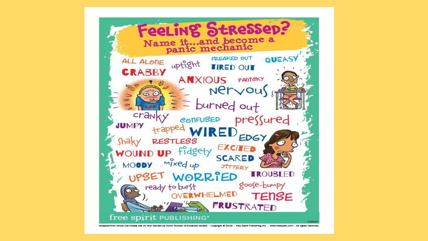

Adapted from Stress Can Really Get on Your Nerwal by Trever Romain & Elizabeth Vendok - Copyright © 2018 - Free Spirit Publishing Inc. - www.freespirit.com - All rights reserved.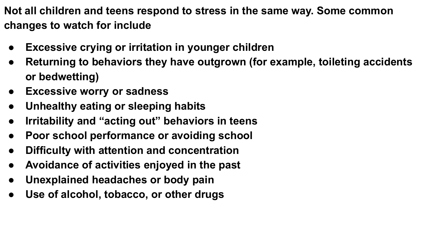**Not all children and teens respond to stress in the same way. Some common changes to watch for include**

- **● Excessive crying or irritation in younger children**
- **● Returning to behaviors they have outgrown (for example, toileting accidents or bedwetting)**
- **● Excessive worry or sadness**
- **● Unhealthy eating or sleeping habits**
- **● Irritability and "acting out" behaviors in teens**
- **● Poor school performance or avoiding school**
- **● Difficulty with attention and concentration**
- **● Avoidance of activities enjoyed in the past**
- **● Unexplained headaches or body pain**
- **● Use of alcohol, tobacco, or other drugs**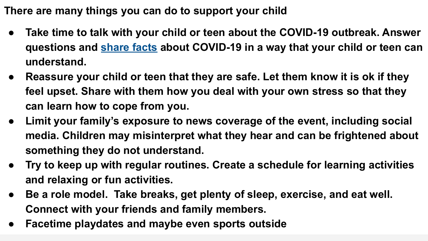**There are many things you can do to support your child**

- Take time to talk with your child or teen about the COVID-19 outbreak. Answer **questions and [share facts](https://www.cdc.gov/coronavirus/2019-ncov/symptoms-testing/share-facts.html) about COVID-19 in a way that your child or teen can understand.**
- **● Reassure your child or teen that they are safe. Let them know it is ok if they feel upset. Share with them how you deal with your own stress so that they can learn how to cope from you.**
- **● Limit your family's exposure to news coverage of the event, including social media. Children may misinterpret what they hear and can be frightened about something they do not understand.**
- **● Try to keep up with regular routines. Create a schedule for learning activities and relaxing or fun activities.**
- **● Be a role model. Take breaks, get plenty of sleep, exercise, and eat well. Connect with your friends and family members.**
- **● Facetime playdates and maybe even sports outside**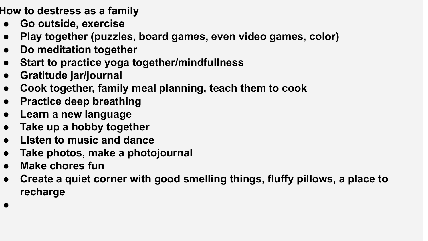**How to destress as a family**

- **● Go outside, exercise**
- **● Play together (puzzles, board games, even video games, color)**
- **● Do meditation together**
- **● Start to practice yoga together/mindfullness**
- **● Gratitude jar/journal**
- **● Cook together, family meal planning, teach them to cook**
- **● Practice deep breathing**
- **● Learn a new language**
- **● Take up a hobby together**
- **● LIsten to music and dance**
- **● Take photos, make a photojournal**
- **● Make chores fun**
- **● Create a quiet corner with good smelling things, fluffy pillows, a place to recharge**
- **●**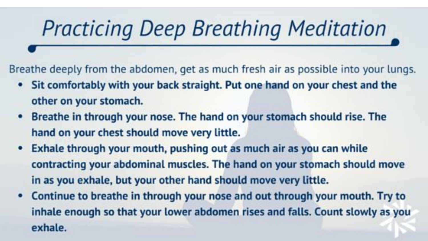# **Practicing Deep Breathing Meditation**

Breathe deeply from the abdomen, get as much fresh air as possible into your lungs.

- Sit comfortably with your back straight. Put one hand on your chest and the other on your stomach.
- Breathe in through your nose. The hand on your stomach should rise. The hand on your chest should move very little.
- Exhale through your mouth, pushing out as much air as you can while contracting your abdominal muscles. The hand on your stomach should move in as you exhale, but your other hand should move very little.
- Continue to breathe in through your nose and out through your mouth. Try to inhale enough so that your lower abdomen rises and falls. Count slowly as you exhale.